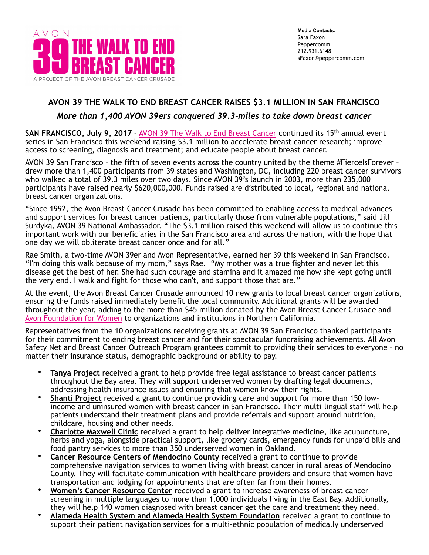

# **AVON 39 THE WALK TO END BREAST CANCER RAISES \$3.1 MILLION IN SAN FRANCISCO**

## *More than 1,400 AVON 39ers conquered 39.3-miles to take down breast cancer*

**SAN FRANCISCO, July 9, 2017** – [AVON 39 The Walk to End Breast Cancer](http://www.avon39.org/) continued its 15th annual event series in San Francisco this weekend raising \$3.1 million to accelerate breast cancer research; improve access to screening, diagnosis and treatment; and educate people about breast cancer.

AVON 39 San Francisco - the fifth of seven events across the country united by the theme #FierceIsForever drew more than 1,400 participants from 39 states and Washington, DC, including 220 breast cancer survivors who walked a total of 39.3 miles over two days. Since AVON 39's launch in 2003, more than 235,000 participants have raised nearly \$620,000,000. Funds raised are distributed to local, regional and national breast cancer organizations.

"Since 1992, the Avon Breast Cancer Crusade has been committed to enabling access to medical advances and support services for breast cancer patients, particularly those from vulnerable populations," said Jill Surdyka, AVON 39 National Ambassador. "The \$3.1 million raised this weekend will allow us to continue this important work with our beneficiaries in the San Francisco area and across the nation, with the hope that one day we will obliterate breast cancer once and for all."

Rae Smith, a two-time AVON 39er and Avon Representative, earned her 39 this weekend in San Francisco. **"**I'm doing this walk because of my mom," says Rae. "My mother was a true fighter and never let this disease get the best of her. She had such courage and stamina and it amazed me how she kept going until the very end. I walk and fight for those who can't, and support those that are."

At the event, the Avon Breast Cancer Crusade announced 10 new grants to local breast cancer organizations, ensuring the funds raised immediately benefit the local community. Additional grants will be awarded throughout the year, adding to the more than \$45 million donated by the Avon Breast Cancer Crusade and [Avon Foundation for Women](http://www.avonfoundation.org) to organizations and institutions in Northern California.

Representatives from the 10 organizations receiving grants at AVON 39 San Francisco thanked participants for their commitment to ending breast cancer and for their spectacular fundraising achievements. All Avon Safety Net and Breast Cancer Outreach Program grantees commit to providing their services to everyone – no matter their insurance status, demographic background or ability to pay.

- **Tanya Project** received a grant to help provide free legal assistance to breast cancer patients throughout the Bay area. They will support underserved women by drafting legal documents, addressing health insurance issues and ensuring that women know their rights.
- **Shanti Project** received a grant to continue providing care and support for more than 150 lowincome and uninsured women with breast cancer in San Francisco. Their multi-lingual staff will help patients understand their treatment plans and provide referrals and support around nutrition, childcare, housing and other needs.
- **Charlotte Maxwell Clinic** received a grant to help deliver integrative medicine, like acupuncture, herbs and yoga, alongside practical support, like grocery cards, emergency funds for unpaid bills and food pantry services to more than 350 underserved women in Oakland.
- **Cancer Resource Centers of Mendocino County** received a grant to continue to provide comprehensive navigation services to women living with breast cancer in rural areas of Mendocino County. They will facilitate communication with healthcare providers and ensure that women have transportation and lodging for appointments that are often far from their homes.
- **Women's Cancer Resource Center** received a grant to increase awareness of breast cancer screening in multiple languages to more than 1,000 individuals living in the East Bay. Additionally, they will help 140 women diagnosed with breast cancer get the care and treatment they need.
- **Alameda Health System and Alameda Health System Foundation** received a grant to continue to support their patient navigation services for a multi-ethnic population of medically underserved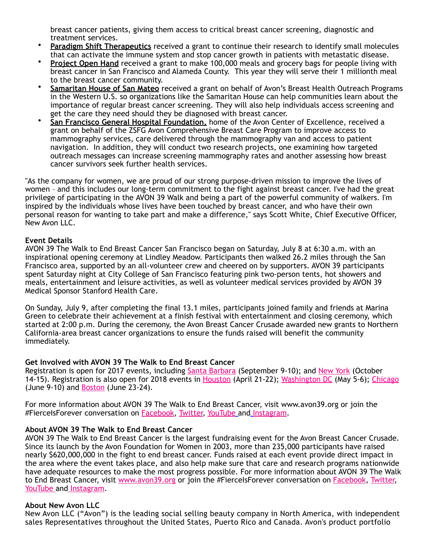breast cancer patients, giving them access to critical breast cancer screening, diagnostic and treatment services.

- **Paradigm Shift Therapeutics** received a grant to continue their research to identify small molecules that can activate the immune system and stop cancer growth in patients with metastatic disease.
- **Project Open Hand** received a grant to make 100,000 meals and grocery bags for people living with breast cancer in San Francisco and Alameda County. This year they will serve their 1 millionth meal to the breast cancer community.
- **Samaritan House of San Mateo** received a grant on behalf of Avon's Breast Health Outreach Programs in the Western U.S. so organizations like the Samaritan House can help communities learn about the importance of regular breast cancer screening. They will also help individuals access screening and get the care they need should they be diagnosed with breast cancer.
- **San Francisco General Hospital Foundation,** home of the Avon Center of Excellence, received a grant on behalf of the ZSFG Avon Comprehensive Breast Care Program to improve access to mammography services, care delivered through the mammography van and access to patient navigation. In addition, they will conduct two research projects, one examining how targeted outreach messages can increase screening mammography rates and another assessing how breast cancer survivors seek further health services.

"As the company for women, we are proud of our strong purpose-driven mission to improve the lives of women – and this includes our long-term commitment to the fight against breast cancer. I've had the great privilege of participating in the AVON 39 Walk and being a part of the powerful community of walkers. I'm inspired by the individuals whose lives have been touched by breast cancer, and who have their own personal reason for wanting to take part and make a difference," says Scott White, Chief Executive Officer, New Avon LLC.

#### **Event Details**

AVON 39 The Walk to End Breast Cancer San Francisco began on Saturday, July 8 at 6:30 a.m. with an inspirational opening ceremony at Lindley Meadow. Participants then walked 26.2 miles through the San Francisco area, supported by an all-volunteer crew and cheered on by supporters. AVON 39 participants spent Saturday night at City College of San Francisco featuring pink two-person tents, hot showers and meals, entertainment and leisure activities, as well as volunteer medical services provided by AVON 39 Medical Sponsor Stanford Health Care.

On Sunday, July 9, after completing the final 13.1 miles, participants joined family and friends at Marina Green to celebrate their achievement at a finish festival with entertainment and closing ceremony, which started at 2:00 p.m. During the ceremony, the Avon Breast Cancer Crusade awarded new grants to Northern California-area breast cancer organizations to ensure the funds raised will benefit the community immediately.

### **Get Involved with AVON 39 The Walk to End Breast Cancer**

Registration is open for 2017 events, including [Santa Barbara](http://www.avon39.org/santa-barbara/) (September 9-10); and [New York](http://www.avon39.org/new-york/) (October 14-15). Registration is also open for 2018 events in <u>[Houston](http://www.avon39.org/houston/)</u> (April 21-22); <u>[Washington DC](http://www.avon39.org/washington-dc/)</u> (May 5-6); <u>Chicago</u> (June 9-10) and [Boston](http://www.avon39.org/boston/) (June 23-24).

For more information about AVON 39 The Walk to End Breast Cancer, visit www.avon39.org or join the #FierceIsForever conversation on [Facebook,](https://www.facebook.com/avon39) [Twitter,](https://twitter.com/avon39walk) [YouTube](https://www.youtube.com/user/avonwalkonline) and [Instagram](https://www.instagram.com/avon39/).

### **About AVON 39 The Walk to End Breast Cancer**

AVON 39 The Walk to End Breast Cancer is the largest fundraising event for the Avon Breast Cancer Crusade. Since its launch by the Avon Foundation for Women in 2003, more than 235,000 participants have raised nearly \$620,000,000 in the fight to end breast cancer. Funds raised at each event provide direct impact in the area where the event takes place, and also help make sure that care and research programs nationwide have adequate resources to make the most progress possible. For more information about AVON 39 The Walk to End Breast Cancer, visit [www.avon39.org](http://www.avon39.org/) or join the #FierceIsForever conversation on [Facebook](https://www.facebook.com/avon39), [Twitter,](https://twitter.com/avon39walk) [YouTube](https://www.youtube.com/user/avonwalkonline) and [Instagram.](https://www.instagram.com/avon39/)

#### **About New Avon LLC**

New Avon LLC ("Avon") is the leading social selling beauty company in North America, with independent sales Representatives throughout the United States, Puerto Rico and Canada. Avon's product portfolio